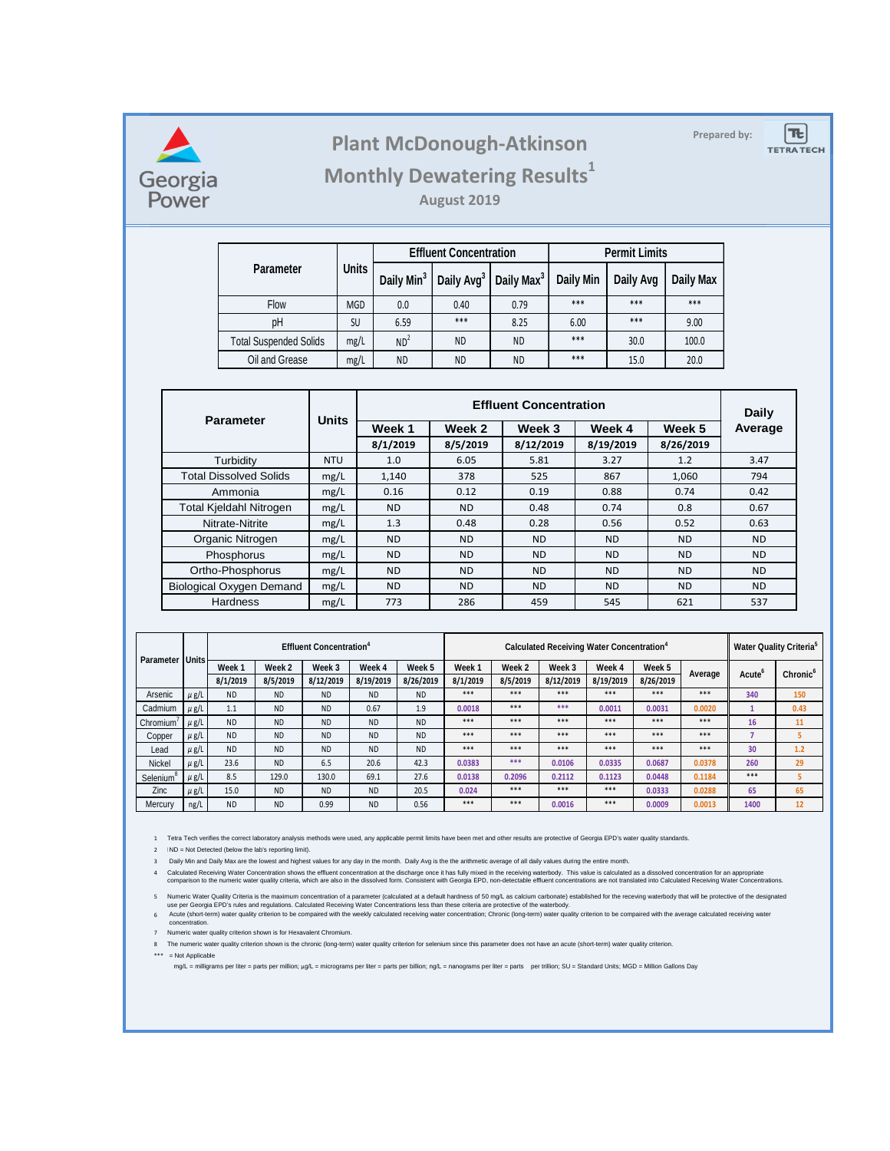

# **Prepared by: Plant McDonough-Atkinson Monthly Dewatering Results<sup>1</sup>**



### **August 2019**

|                               |              |                        | <b>Effluent Concentration</b> |               | <b>Permit Limits</b> |           |           |  |
|-------------------------------|--------------|------------------------|-------------------------------|---------------|----------------------|-----------|-----------|--|
| Parameter                     | <b>Units</b> | Daily Min <sup>3</sup> | Daily Avg <sup>3</sup>        | Daily Max $3$ | <b>Daily Min</b>     | Daily Avg | Daily Max |  |
| Flow                          | <b>MGD</b>   | 0.0                    | 0.40                          | 0.79          | $***$                | $***$     | ***       |  |
| рH                            | SU           | 6.59                   | ***                           | 8.25          | 6.00                 | ***       | 9.00      |  |
| <b>Total Suspended Solids</b> | mg/L         | ND <sup>2</sup>        | <b>ND</b>                     | <b>ND</b>     | ***                  | 30.0      | 100.0     |  |
| Oil and Grease                | mg/L         | <b>ND</b>              | <b>ND</b>                     | <b>ND</b>     | ***                  | 15.0      | 20.0      |  |

|                                 |              |           | <b>Daily</b> |           |           |           |           |  |
|---------------------------------|--------------|-----------|--------------|-----------|-----------|-----------|-----------|--|
| <b>Parameter</b>                | <b>Units</b> | Week 1    | Week 2       | Week 3    | Week 4    | Week 5    | Average   |  |
|                                 |              | 8/1/2019  | 8/5/2019     | 8/12/2019 | 8/19/2019 | 8/26/2019 |           |  |
| Turbidity                       | <b>NTU</b>   | 1.0       | 6.05         | 5.81      | 3.27      | 1.2       | 3.47      |  |
| <b>Total Dissolved Solids</b>   | mg/L         | 1,140     | 525<br>378   |           | 867       | 1,060     | 794       |  |
| Ammonia                         | mg/L         | 0.16      | 0.12         | 0.19      | 0.88      | 0.74      | 0.42      |  |
| <b>Total Kjeldahl Nitrogen</b>  | mg/L         | <b>ND</b> | <b>ND</b>    | 0.48      | 0.74      | 0.8       | 0.67      |  |
| Nitrate-Nitrite                 | mg/L         | 1.3       | 0.48         | 0.28      | 0.56      | 0.52      | 0.63      |  |
| Organic Nitrogen                | mg/L         | <b>ND</b> | <b>ND</b>    | <b>ND</b> | <b>ND</b> | <b>ND</b> | <b>ND</b> |  |
| Phosphorus                      | mg/L         | <b>ND</b> | <b>ND</b>    | <b>ND</b> | <b>ND</b> | <b>ND</b> | <b>ND</b> |  |
| Ortho-Phosphorus                | mg/L         | <b>ND</b> | <b>ND</b>    | <b>ND</b> | <b>ND</b> | <b>ND</b> | <b>ND</b> |  |
| <b>Biological Oxygen Demand</b> | mg/L         | <b>ND</b> | <b>ND</b>    | <b>ND</b> | <b>ND</b> | <b>ND</b> | ND.       |  |
| Hardness                        | mg/L         | 773       | 286          | 459       | 545       | 621       | 537       |  |

| <b>Units</b><br>Parameter |           | <b>Effluent Concentration<sup>4</sup></b> |                   |           |           |           | Calculated Receiving Water Concentration <sup>4</sup> |          |           |           |           | Water Quality Criteria <sup>5</sup> |                    |                      |
|---------------------------|-----------|-------------------------------------------|-------------------|-----------|-----------|-----------|-------------------------------------------------------|----------|-----------|-----------|-----------|-------------------------------------|--------------------|----------------------|
|                           |           | Week <sub>1</sub>                         | Week <sub>2</sub> | Week 3    | Week 4    | Week 5    | Week <sub>1</sub>                                     | Week 2   | Week 3    | Week 4    | Week 5    |                                     |                    | Chronic <sup>6</sup> |
|                           |           | 8/1/2019                                  | 8/5/2019          | 8/12/2019 | 8/19/2019 | 8/26/2019 | 8/1/2019                                              | 8/5/2019 | 8/12/2019 | 8/19/2019 | 8/26/2019 | Average                             | Acute <sup>t</sup> |                      |
| Arsenic                   | $\mu$ g/L | <b>ND</b>                                 | <b>ND</b>         | <b>ND</b> | <b>ND</b> | <b>ND</b> | ***                                                   | ***      | ***       | ***       | ***       | $***$                               | 340                | 150                  |
| Cadmium                   | $\mu$ g/L | 1.1                                       | <b>ND</b>         | <b>ND</b> | 0.67      | 1.9       | 0.0018                                                | ***      | ***       | 0.0011    | 0.0031    | 0.0020                              |                    | 0.43                 |
| Chromium <sup>®</sup>     | $\mu$ g/L | <b>ND</b>                                 | <b>ND</b>         | <b>ND</b> | <b>ND</b> | <b>ND</b> | ***                                                   | ***      | $***$     | ***       | $***$     | ***                                 | 16                 | 11                   |
| Copper                    | $\mu$ g/L | <b>ND</b>                                 | <b>ND</b>         | <b>ND</b> | <b>ND</b> | <b>ND</b> | ***                                                   | ***      | $***$     | ***       | $***$     | ***                                 |                    |                      |
| Lead                      | $\mu$ g/L | <b>ND</b>                                 | <b>ND</b>         | <b>ND</b> | <b>ND</b> | <b>ND</b> | ***                                                   | ***      | ***       | $***$     | ***       | ***                                 | 30                 | 1.2                  |
| Nickel                    | $\mu$ g/L | 23.6                                      | <b>ND</b>         | 6.5       | 20.6      | 42.3      | 0.0383                                                | ***      | 0.0106    | 0.0335    | 0.0687    | 0.0378                              | 260                | 29                   |
| Selenium                  | $\mu$ g/L | 8.5                                       | 129.0             | 130.0     | 69.1      | 27.6      | 0.0138                                                | 0.2096   | 0.2112    | 0.1123    | 0.0448    | 0.1184                              | ***                |                      |
| Zinc                      | $\mu$ g/L | 15.0                                      | <b>ND</b>         | <b>ND</b> | <b>ND</b> | 20.5      | 0.024                                                 | ***      | ***       | ***       | 0.0333    | 0.0288                              | 65                 | 65                   |
| Mercury                   | ng/L      | <b>ND</b>                                 | <b>ND</b>         | 0.99      | <b>ND</b> | 0.56      | $***$                                                 | $***$    | 0.0016    | $***$     | 0.0009    | 0.0013                              | 1400               | 12                   |

1 Tetra Tech verifies the correct laboratory analysis methods were used, any applicable permit limits have been met and other results are protective of Georgia EPD's water quality standards.

 $2$   $ND = Not$  Detected (below the lab's reporting limit).

3 Daily Min and Daily Max are the lowest and highest values for any day in the month. Daily Avg is the the arithmetic average of all daily values during the entire month.

Calculated Receiving Water Concentration shows the effuent concentration at the discharge once it has fully mixed in the discharge waterbook This value is calculated Receiving Vater Calculated Receiving Water Concentration

5 Numeric Water Quality Criteria is the maximum concentration of a parameter (calculated at a default hardness of 50 mg/L as calcium carbonate) established for the receving waterbody that will be protective of the designated

6 concentration.

7 Numeric water quality criterion shown is for Hexavalent Chromium.

8 The numeric water quality criterion shown is the chronic (long-term) water quality criterion for selenium since this parameter does not have an acute (short-term) water quality criterion.

\*\*\* = Not Applicable

mg/L = milligrams per liter = parts per million; µg/L = micrograms per liter = parts per billion; ng/L = nanograms per liter = parts per trillion; SU = Standard Units; MGD = Million Gallons Day